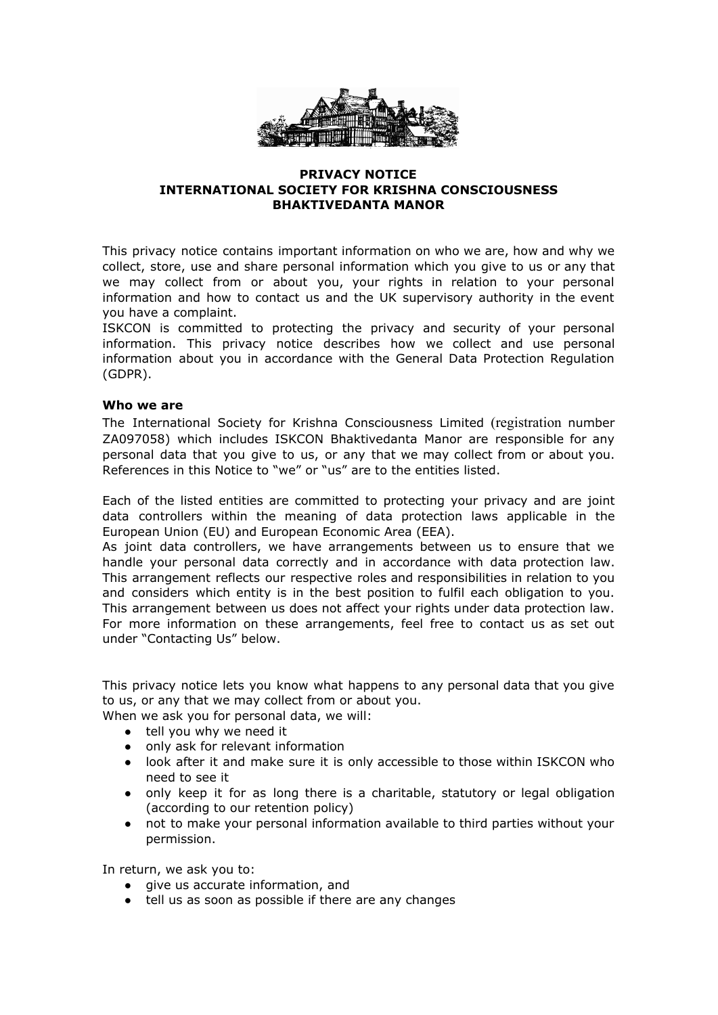

### **PRIVACY NOTICE INTERNATIONAL SOCIETY FOR KRISHNA CONSCIOUSNESS BHAKTIVEDANTA MANOR**

This privacy notice contains important information on who we are, how and why we collect, store, use and share personal information which you give to us or any that we may collect from or about you, your rights in relation to your personal information and how to contact us and the UK supervisory authority in the event you have a complaint.

ISKCON is committed to protecting the privacy and security of your personal information. This privacy notice describes how we collect and use personal information about you in accordance with the General Data Protection Regulation (GDPR).

# **Who we are**

The International Society for Krishna Consciousness Limited (registration number ZA097058) which includes ISKCON Bhaktivedanta Manor are responsible for any personal data that you give to us, or any that we may collect from or about you. References in this Notice to "we" or "us" are to the entities listed.

Each of the listed entities are committed to protecting your privacy and are joint data controllers within the meaning of data protection laws applicable in the European Union (EU) and European Economic Area (EEA).

As joint data controllers, we have arrangements between us to ensure that we handle your personal data correctly and in accordance with data protection law. This arrangement reflects our respective roles and responsibilities in relation to you and considers which entity is in the best position to fulfil each obligation to you. This arrangement between us does not affect your rights under data protection law. For more information on these arrangements, feel free to contact us as set out under "Contacting Us" below.

This privacy notice lets you know what happens to any personal data that you give to us, or any that we may collect from or about you.

When we ask you for personal data, we will:

- tell you why we need it
- only ask for relevant information
- look after it and make sure it is only accessible to those within ISKCON who need to see it
- only keep it for as long there is a charitable, statutory or legal obligation (according to our retention policy)
- not to make your personal information available to third parties without your permission.

In return, we ask you to:

- give us accurate information, and
- tell us as soon as possible if there are any changes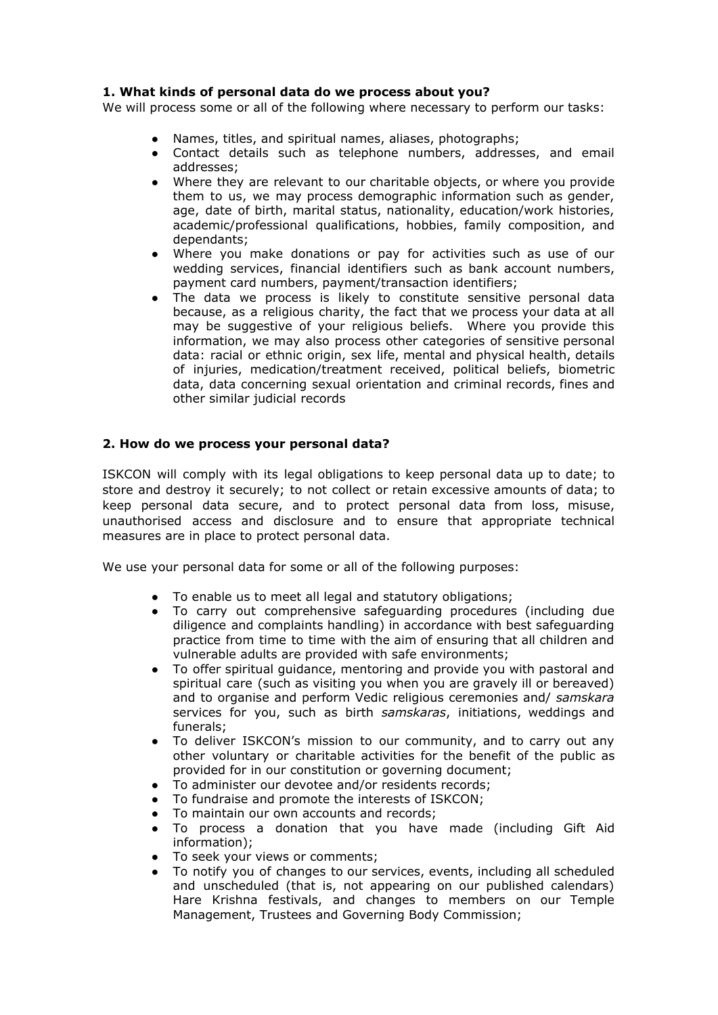# **1. What kinds of personal data do we process about you?**

We will process some or all of the following where necessary to perform our tasks:

- Names, titles, and spiritual names, aliases, photographs;
- Contact details such as telephone numbers, addresses, and email addresses;
- Where they are relevant to our charitable objects, or where you provide them to us, we may process demographic information such as gender, age, date of birth, marital status, nationality, education/work histories, academic/professional qualifications, hobbies, family composition, and dependants;
- Where you make donations or pay for activities such as use of our wedding services, financial identifiers such as bank account numbers, payment card numbers, payment/transaction identifiers;
- The data we process is likely to constitute sensitive personal data because, as a religious charity, the fact that we process your data at all may be suggestive of your religious beliefs. Where you provide this information, we may also process other categories of sensitive personal data: racial or ethnic origin, sex life, mental and physical health, details of injuries, medication/treatment received, political beliefs, biometric data, data concerning sexual orientation and criminal records, fines and other similar judicial records

# **2. How do we process your personal data?**

ISKCON will comply with its legal obligations to keep personal data up to date; to store and destroy it securely; to not collect or retain excessive amounts of data; to keep personal data secure, and to protect personal data from loss, misuse, unauthorised access and disclosure and to ensure that appropriate technical measures are in place to protect personal data.

We use your personal data for some or all of the following purposes:

- To enable us to meet all legal and statutory obligations;
- To carry out comprehensive safeguarding procedures (including due diligence and complaints handling) in accordance with best safeguarding practice from time to time with the aim of ensuring that all children and vulnerable adults are provided with safe environments;
- To offer spiritual guidance, mentoring and provide you with pastoral and spiritual care (such as visiting you when you are gravely ill or bereaved) and to organise and perform Vedic religious ceremonies and/ *samskara* services for you, such as birth *samskaras*, initiations, weddings and funerals;
- To deliver ISKCON's mission to our community, and to carry out any other voluntary or charitable activities for the benefit of the public as provided for in our constitution or governing document;
- To administer our devotee and/or residents records;
- To fundraise and promote the interests of ISKCON;
- To maintain our own accounts and records;
- To process a donation that you have made (including Gift Aid information);
- To seek your views or comments;
- To notify you of changes to our services, events, including all scheduled and unscheduled (that is, not appearing on our published calendars) Hare Krishna festivals, and changes to members on our Temple Management, Trustees and Governing Body Commission;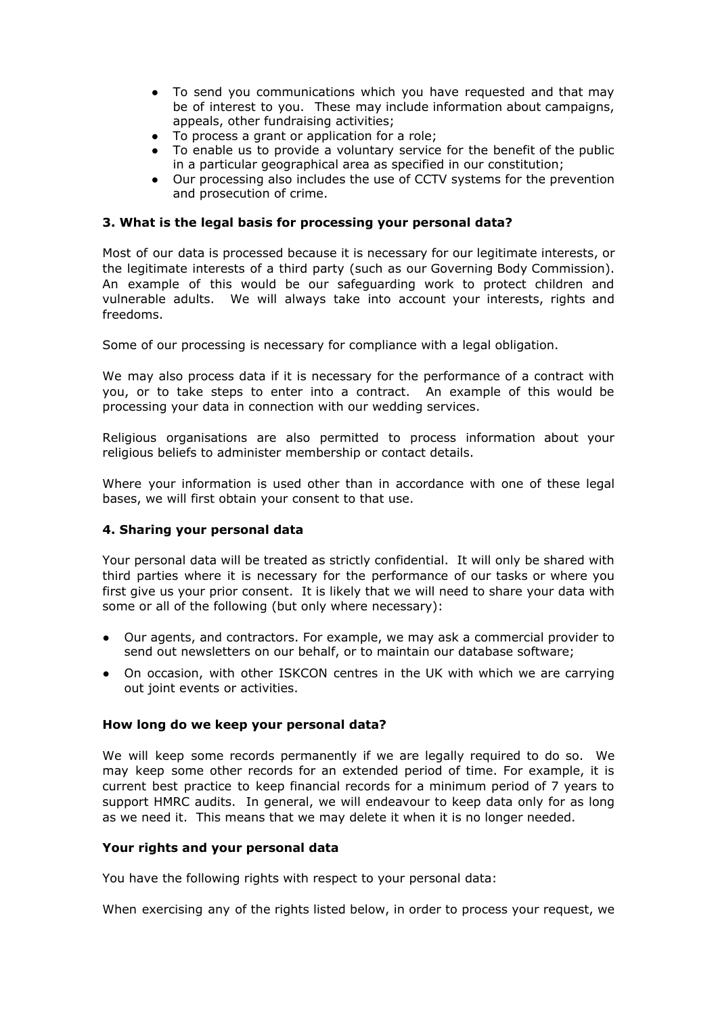- To send you communications which you have requested and that may be of interest to you. These may include information about campaigns, appeals, other fundraising activities;
- To process a grant or application for a role;
- To enable us to provide a voluntary service for the benefit of the public in a particular geographical area as specified in our constitution;
- Our processing also includes the use of CCTV systems for the prevention and prosecution of crime.

## **3. What is the legal basis for processing your personal data?**

Most of our data is processed because it is necessary for our legitimate interests, or the legitimate interests of a third party (such as our Governing Body Commission). An example of this would be our safeguarding work to protect children and vulnerable adults. We will always take into account your interests, rights and freedoms.

Some of our processing is necessary for compliance with a legal obligation.

We may also process data if it is necessary for the performance of a contract with you, or to take steps to enter into a contract. An example of this would be processing your data in connection with our wedding services.

Religious organisations are also permitted to process information about your religious beliefs to administer membership or contact details.

Where your information is used other than in accordance with one of these legal bases, we will first obtain your consent to that use.

### **4. Sharing your personal data**

Your personal data will be treated as strictly confidential. It will only be shared with third parties where it is necessary for the performance of our tasks or where you first give us your prior consent. It is likely that we will need to share your data with some or all of the following (but only where necessary):

- Our agents, and contractors. For example, we may ask a commercial provider to send out newsletters on our behalf, or to maintain our database software;
- On occasion, with other ISKCON centres in the UK with which we are carrying out joint events or activities.

### **How long do we keep your personal data?**

We will keep some records permanently if we are legally required to do so. We may keep some other records for an extended period of time. For example, it is current best practice to keep financial records for a minimum period of 7 years to support HMRC audits. In general, we will endeavour to keep data only for as long as we need it. This means that we may delete it when it is no longer needed.

## **Your rights and your personal data**

You have the following rights with respect to your personal data:

When exercising any of the rights listed below, in order to process your request, we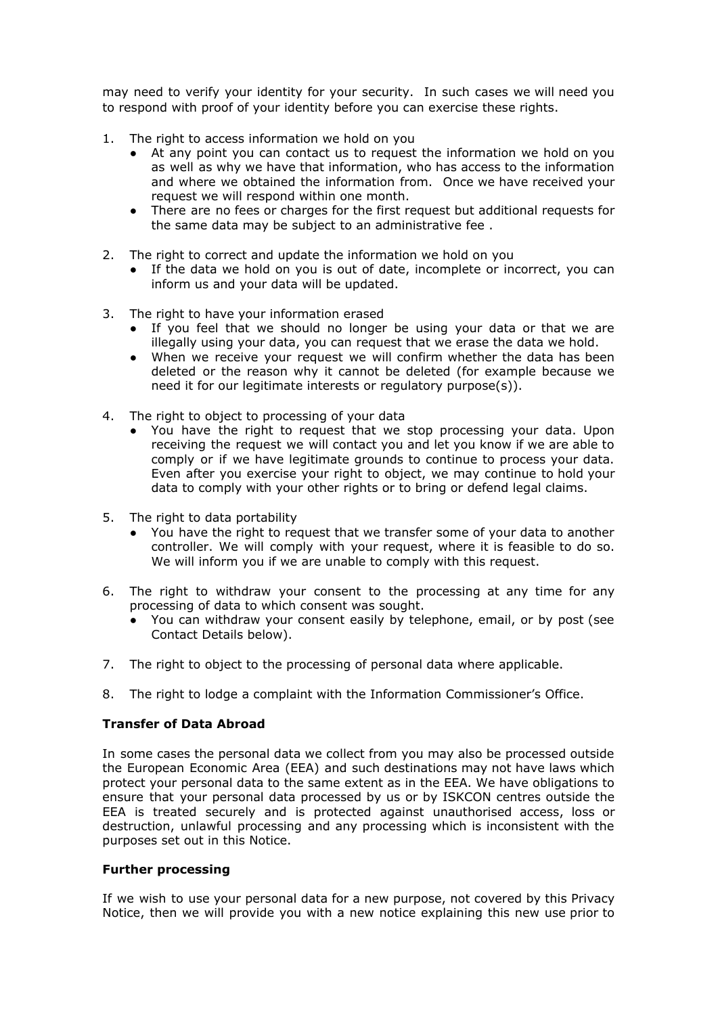may need to verify your identity for your security. In such cases we will need you to respond with proof of your identity before you can exercise these rights.

- 1. The right to access information we hold on you
	- At any point you can contact us to request the information we hold on you as well as why we have that information, who has access to the information and where we obtained the information from. Once we have received your request we will respond within one month.
	- There are no fees or charges for the first request but additional requests for the same data may be subject to an administrative fee .
- 2. The right to correct and update the information we hold on you
	- If the data we hold on you is out of date, incomplete or incorrect, you can inform us and your data will be updated.
- 3. The right to have your information erased
	- If you feel that we should no longer be using your data or that we are illegally using your data, you can request that we erase the data we hold.
	- When we receive your request we will confirm whether the data has been deleted or the reason why it cannot be deleted (for example because we need it for our legitimate interests or regulatory purpose(s)).
- 4. The right to object to processing of your data
	- You have the right to request that we stop processing your data. Upon receiving the request we will contact you and let you know if we are able to comply or if we have legitimate grounds to continue to process your data. Even after you exercise your right to object, we may continue to hold your data to comply with your other rights or to bring or defend legal claims.
- 5. The right to data portability
	- You have the right to request that we transfer some of your data to another controller. We will comply with your request, where it is feasible to do so. We will inform you if we are unable to comply with this request.
- 6. The right to withdraw your consent to the processing at any time for any processing of data to which consent was sought.
	- You can withdraw your consent easily by telephone, email, or by post (see Contact Details below).
- 7. The right to object to the processing of personal data where applicable.
- 8. The right to lodge a complaint with the Information Commissioner's Office.

### **Transfer of Data Abroad**

In some cases the personal data we collect from you may also be processed outside the European Economic Area (EEA) and such destinations may not have laws which protect your personal data to the same extent as in the EEA. We have obligations to ensure that your personal data processed by us or by ISKCON centres outside the EEA is treated securely and is protected against unauthorised access, loss or destruction, unlawful processing and any processing which is inconsistent with the purposes set out in this Notice.

### **Further processing**

If we wish to use your personal data for a new purpose, not covered by this Privacy Notice, then we will provide you with a new notice explaining this new use prior to